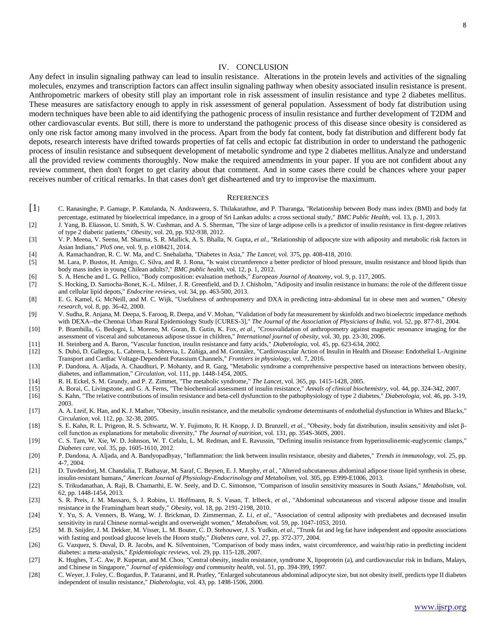## IV. CONCLUSION

Any defect in insulin signaling pathway can lead to insulin resistance. Alterations in the protein levels and activities of the signaling molecules, enzymes and transcription factors can affect insulin signaling pathway when obesity associated insulin resistance is present. Anthropometric markers of obesity still play an important role in risk assessment of insulin resistance and type 2 diabetes mellitus. These measures are satisfactory enough to apply in risk assessment of general population. Assessment of body fat distribution using modern techniques have been able to aid identifying the pathogenic process of insulin resistance and further development of T2DM and other cardiovascular events. But still, there is more to understand the pathogenic process of this disease since obesity is considered as only one risk factor among many involved in the process. Apart from the body fat content, body fat distribution and different body fat depots, research interests have drifted towards properties of fat cells and ectopic fat distribution in order to understand the pathogenic process of insulin resistance and subsequent development of metabolic syndrome and type 2 diabetes mellitus.Analyze and understand all the provided review comments thoroughly. Now make the required amendments in your paper. If you are not confident about any review comment, then don't forget to get clarity about that comment. And in some cases there could be chances where your paper receives number of critical remarks. In that cases don't get disheartened and try to improvise the maximum.

## **REFERENCES**

- [1] C. Ranasinghe, P. Gamage, P. Katulanda, N. Andraweera, S. Thilakarathne, and P. Tharanga, "Relationship between Body mass index (BMI) and body fat percentage, estimated by bioelectrical impedance, in a group of Sri Lankan adults: a cross sectional study," *BMC Public Health,* vol. 13, p. 1, 2013.
- [2] J. Yang, B. Eliasson, U. Smith, S. W. Cushman, and A. S. Sherman, "The size of large adipose cells is a predictor of insulin resistance in first-degree relatives of type 2 diabetic patients," *Obesity,* vol. 20, pp. 932-938, 2012.
- [3] V. P. Meena, V. Seenu, M. Sharma, S. R. Mallick, A. S. Bhalla, N. Gupta*, et al.*, "Relationship of adipocyte size with adiposity and metabolic risk factors in Asian Indians," *PloS one,* vol. 9, p. e108421, 2014.
- [4] A. Ramachandran, R. C. W. Ma, and C. Snehalatha, "Diabetes in Asia," *The Lancet,* vol. 375, pp. 408-418, 2010.
- [5] M. Lara, P. Bustos, H. Amigo, C. Silva, and R. J. Rona, "Is waist circumference a better predictor of blood pressure, insulin resistance and blood lipids than body mass index in young Chilean adults?," *BMC public health,* vol. 12, p. 1, 2012.
- [6] S. A. Henche and L. G. Pellico, "Body composition: evaluation methods," *European Journal of Anatomy,* vol. 9, p. 117, 2005.
- [7] S. Hocking, D. Samocha-Bonet, K.-L. Milner, J. R. Greenfield, and D. J. Chisholm, "Adiposity and insulin resistance in humans: the role of the different tissue and cellular lipid depots," *Endocrine reviews,* vol. 34, pp. 463-500, 2013.
- [8] E. G. Kamel, G. McNeill, and M. C. Wijk, "Usefulness of anthropometry and DXA in predicting intra‐abdominal fat in obese men and women," *Obesity research,* vol. 8, pp. 36-42, 2000.
- [9] V. Sudha, R. Anjana, M. Deepa, S. Farooq, R. Deepa, and V. Mohan, "Validation of body fat measurement by skinfolds and two bioelectric impedance methods with DEXA--the Chennai Urban Rural Epidemiology Study [CURES-3]," *The Journal of the Association of Physicians of India,* vol. 52, pp. 877-81, 2004.
- [10] P. Brambilla, G. Bedogni, L. Moreno, M. Goran, B. Gutin, K. Fox*, et al.*, "Crossvalidation of anthropometry against magnetic resonance imaging for the assessment of visceral and subcutaneous adipose tissue in children," *International journal of obesity,* vol. 30, pp. 23-30, 2006.
- 
- [11] H. Steinberg and A. Baron, "Vascular function, insulin resistance and fatty acids," *Diabetologia,* vol. 45, pp. 623-634, 2002. [12] S. Dubó, D. Gallegos, L. Cabrera, L. Sobrevia, L. Zúñiga, and M. González, "Cardiovascular Action of Insulin in Health and Disease: Endothelial L-Arginine Transport and Cardiac Voltage-Dependent Potassium Channels," *Frontiers in physiology,* vol. 7, 2016.
- [13] P. Dandona, A. Aljada, A. Chaudhuri, P. Mohanty, and R. Garg, "Metabolic syndrome a comprehensive perspective based on interactions between obesity, diabetes, and inflammation," *Circulation,* vol. 111, pp. 1448-1454, 2005.
- [14] R. H. Eckel, S. M. Grundy, and P. Z. Zimmet, "The metabolic syndrome," *The Lancet,* vol. 365, pp. 1415-1428, 2005.
- [15] A. Borai, C. Livingstone, and G. A. Ferns, "The biochemical assessment of insulin resistance," *Annals of clinical biochemistry,* vol. 44, pp. 324-342, 2007.
- [16] S. Kahn, "The relative contributions of insulin resistance and beta-cell dysfunction to the pathophysiology of type 2 diabetes," *Diabetologia,* vol. 46, pp. 3-19, 2003.
- [17] A. A. Lteif, K. Han, and K. J. Mather, "Obesity, insulin resistance, and the metabolic syndrome determinants of endothelial dysfunction in Whites and Blacks," *Circulation,* vol. 112, pp. 32-38, 2005.
- [18] S. E. Kahn, R. L. Prigeon, R. S. Schwartz, W. Y. Fujimoto, R. H. Knopp, J. D. Brunzell*, et al.*, "Obesity, body fat distribution, insulin sensitivity and islet βcell function as explanations for metabolic diversity," *The Journal of nutrition,* vol. 131, pp. 354S-360S, 2001.
- [19] C. S. Tam, W. Xie, W. D. Johnson, W. T. Cefalu, L. M. Redman, and E. Ravussin, "Defining insulin resistance from hyperinsulinemic-euglycemic clamps," *Diabetes care,* vol. 35, pp. 1605-1610, 2012.
- [20] P. Dandona, A. Aljada, and A. Bandyopadhyay, "Inflammation: the link between insulin resistance, obesity and diabetes," *Trends in immunology,* vol. 25, pp. 4-7, 2004.
- [21] D. Tuvdendorj, M. Chandalia, T. Batbayar, M. Saraf, C. Beysen, E. J. Murphy*, et al.*, "Altered subcutaneous abdominal adipose tissue lipid synthesis in obese, insulin-resistant humans," *American Journal of Physiology-Endocrinology and Metabolism,* vol. 305, pp. E999-E1006, 2013.
- [22] S. Trikudanathan, A. Raji, B. Chamarthi, E. W. Seely, and D. C. Simonson, "Comparison of insulin sensitivity measures in South Asians," *Metabolism,* vol. 62, pp. 1448-1454, 2013.
- [23] S. R. Preis, J. M. Massaro, S. J. Robins, U. Hoffmann, R. S. Vasan, T. Irlbeck*, et al.*, "Abdominal subcutaneous and visceral adipose tissue and insulin resistance in the Framingham heart study," *Obesity,* vol. 18, pp. 2191-2198, 2010.
- [24] Y. Yu, S. A. Venners, B. Wang, W. J. Brickman, D. Zimmerman, Z. Li*, et al.*, "Association of central adiposity with prediabetes and decreased insulin sensitivity in rural Chinese normal-weight and overweight women," *Metabolism,* vol. 59, pp. 1047-1053, 2010.
- [25] M. B. Snijder, J. M. Dekker, M. Visser, L. M. Bouter, C. D. Stehouwer, J. S. Yudkin*, et al.*, "Trunk fat and leg fat have independent and opposite associations with fasting and postload glucose levels the Hoorn study," *Diabetes care,* vol. 27, pp. 372-377, 2004.
- [26] G. Vazquez, S. Duval, D. R. Jacobs, and K. Silventoinen, "Comparison of body mass index, waist circumference, and waist/hip ratio in predicting incident diabetes: a meta-analysis," *Epidemiologic reviews,* vol. 29, pp. 115-128, 2007.
- [27] K. Hughes, T.-C. Aw, P. Kuperan, and M. Choo, "Central obesity, insulin resistance, syndrome X, lipoprotein (a), and cardiovascular risk in Indians, Malays, and Chinese in Singapore," *Journal of epidemiology and community health,* vol. 51, pp. 394-399, 1997.
- [28] C. Weyer, J. Foley, C. Bogardus, P. Tataranni, and R. Pratley, "Enlarged subcutaneous abdominal adipocyte size, but not obesity itself, predicts type II diabetes independent of insulin resistance," *Diabetologia,* vol. 43, pp. 1498-1506, 2000.